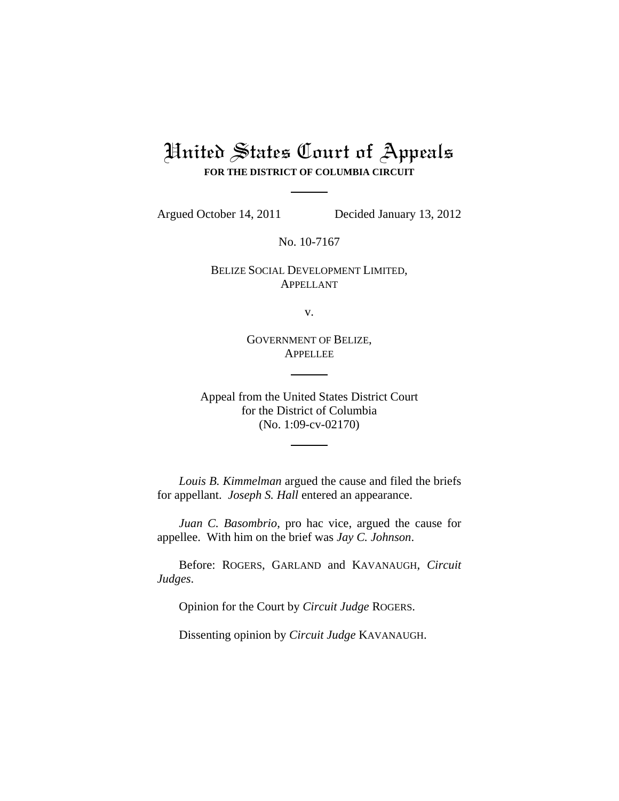## United States Court of Appeals **FOR THE DISTRICT OF COLUMBIA CIRCUIT**

Argued October 14, 2011 Decided January 13, 2012

No. 10-7167

BELIZE SOCIAL DEVELOPMENT LIMITED, APPELLANT

v.

GOVERNMENT OF BELIZE, APPELLEE

Appeal from the United States District Court for the District of Columbia (No. 1:09-cv-02170)

*Louis B. Kimmelman* argued the cause and filed the briefs for appellant. *Joseph S. Hall* entered an appearance.

*Juan C. Basombrio*, pro hac vice, argued the cause for appellee. With him on the brief was *Jay C. Johnson*.

Before: ROGERS, GARLAND and KAVANAUGH, *Circuit Judges*.

Opinion for the Court by *Circuit Judge* ROGERS.

Dissenting opinion by *Circuit Judge* KAVANAUGH.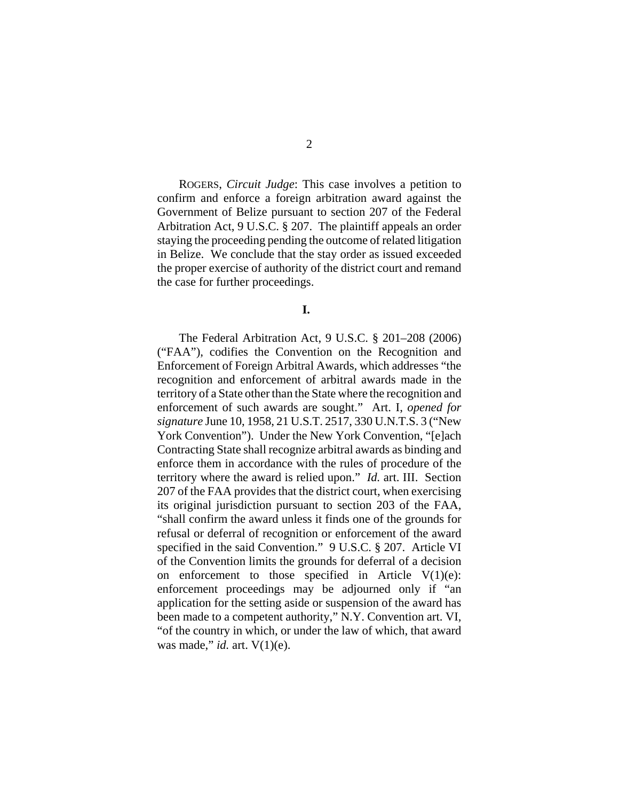ROGERS, *Circuit Judge*: This case involves a petition to confirm and enforce a foreign arbitration award against the Government of Belize pursuant to section 207 of the Federal Arbitration Act, 9 U.S.C. § 207. The plaintiff appeals an order staying the proceeding pending the outcome of related litigation in Belize. We conclude that the stay order as issued exceeded the proper exercise of authority of the district court and remand the case for further proceedings.

**I.** 

The Federal Arbitration Act, 9 U.S.C. § 201–208 (2006) ("FAA"), codifies the Convention on the Recognition and Enforcement of Foreign Arbitral Awards, which addresses "the recognition and enforcement of arbitral awards made in the territory of a State other than the State where the recognition and enforcement of such awards are sought." Art. I, *opened for signature* June 10, 1958, 21 U.S.T. 2517, 330 U.N.T.S. 3 ("New York Convention"). Under the New York Convention, "[e]ach Contracting State shall recognize arbitral awards as binding and enforce them in accordance with the rules of procedure of the territory where the award is relied upon." *Id.* art. III. Section 207 of the FAA provides that the district court, when exercising its original jurisdiction pursuant to section 203 of the FAA, "shall confirm the award unless it finds one of the grounds for refusal or deferral of recognition or enforcement of the award specified in the said Convention." 9 U.S.C. § 207. Article VI of the Convention limits the grounds for deferral of a decision on enforcement to those specified in Article  $V(1)(e)$ : enforcement proceedings may be adjourned only if "an application for the setting aside or suspension of the award has been made to a competent authority," N.Y. Convention art. VI, "of the country in which, or under the law of which, that award was made," *id.* art. V(1)(e).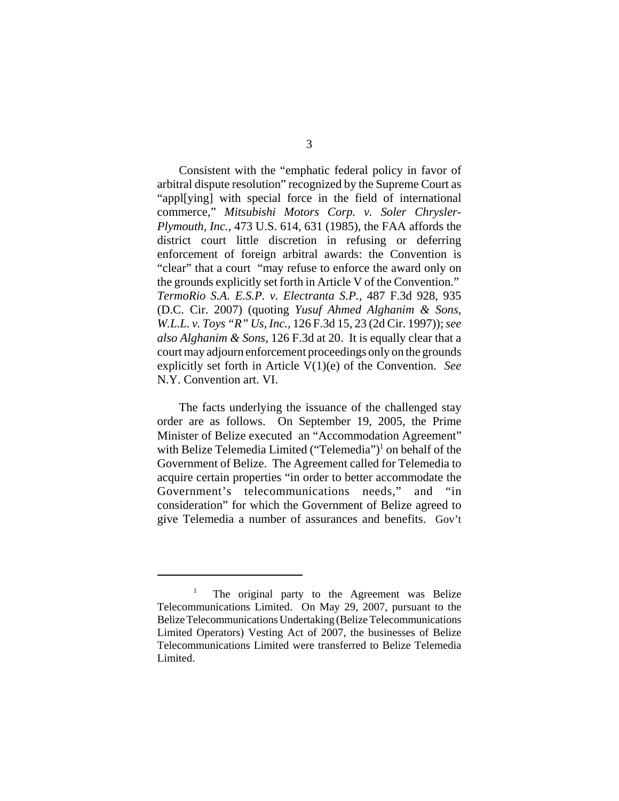Consistent with the "emphatic federal policy in favor of arbitral dispute resolution" recognized by the Supreme Court as "appl[ying] with special force in the field of international commerce," *Mitsubishi Motors Corp. v. Soler Chrysler-Plymouth, Inc.*, 473 U.S. 614, 631 (1985), the FAA affords the district court little discretion in refusing or deferring enforcement of foreign arbitral awards: the Convention is "clear" that a court "may refuse to enforce the award only on the grounds explicitly set forth in Article V of the Convention." *TermoRio S.A. E.S.P. v. Electranta S.P.,* 487 F.3d 928, 935 (D.C. Cir. 2007) (quoting *Yusuf Ahmed Alghanim & Sons, W.L.L. v. Toys "R" Us, Inc.,* 126 F.3d 15, 23 (2d Cir. 1997)); *see also Alghanim & Sons*, 126 F.3d at 20. It is equally clear that a court may adjourn enforcement proceedings only on the grounds explicitly set forth in Article V(1)(e) of the Convention. *See* N.Y. Convention art. VI.

The facts underlying the issuance of the challenged stay order are as follows. On September 19, 2005, the Prime Minister of Belize executed an "Accommodation Agreement" with Belize Telemedia Limited ("Telemedia")<sup>1</sup> on behalf of the Government of Belize. The Agreement called for Telemedia to acquire certain properties "in order to better accommodate the Government's telecommunications needs," and "in consideration" for which the Government of Belize agreed to give Telemedia a number of assurances and benefits. Gov't

<sup>1</sup> The original party to the Agreement was Belize Telecommunications Limited. On May 29, 2007, pursuant to the Belize Telecommunications Undertaking (Belize Telecommunications Limited Operators) Vesting Act of 2007, the businesses of Belize Telecommunications Limited were transferred to Belize Telemedia Limited.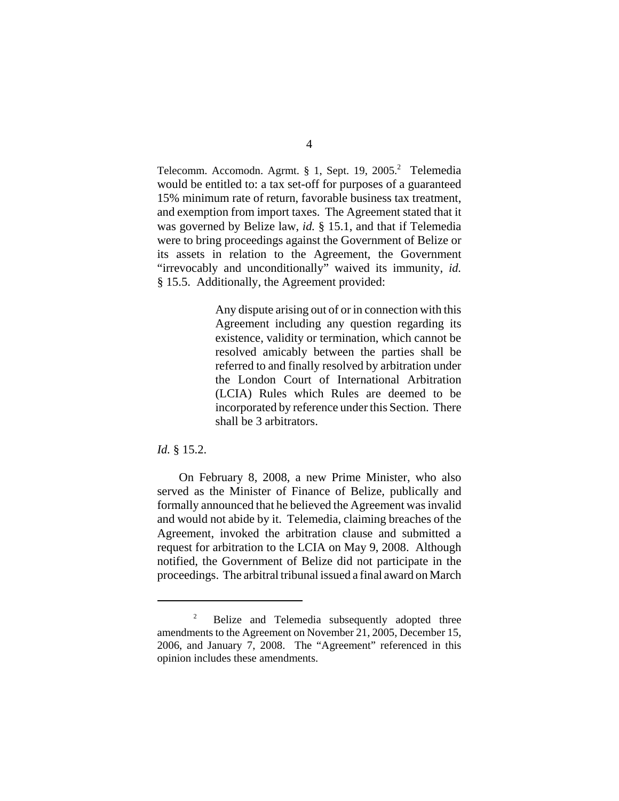Telecomm. Accomodn. Agrmt. § 1, Sept. 19, 2005.<sup>2</sup> Telemedia would be entitled to: a tax set-off for purposes of a guaranteed 15% minimum rate of return, favorable business tax treatment, and exemption from import taxes. The Agreement stated that it was governed by Belize law, *id.* § 15.1, and that if Telemedia were to bring proceedings against the Government of Belize or its assets in relation to the Agreement, the Government "irrevocably and unconditionally" waived its immunity, *id.* § 15.5. Additionally, the Agreement provided:

> Any dispute arising out of or in connection with this Agreement including any question regarding its existence, validity or termination, which cannot be resolved amicably between the parties shall be referred to and finally resolved by arbitration under the London Court of International Arbitration (LCIA) Rules which Rules are deemed to be incorporated by reference under this Section. There shall be 3 arbitrators.

## *Id.* § 15.2.

On February 8, 2008, a new Prime Minister, who also served as the Minister of Finance of Belize, publically and formally announced that he believed the Agreement was invalid and would not abide by it. Telemedia, claiming breaches of the Agreement, invoked the arbitration clause and submitted a request for arbitration to the LCIA on May 9, 2008. Although notified, the Government of Belize did not participate in the proceedings. The arbitral tribunal issued a final award on March

<sup>2</sup> Belize and Telemedia subsequently adopted three amendments to the Agreement on November 21, 2005, December 15, 2006, and January 7, 2008. The "Agreement" referenced in this opinion includes these amendments.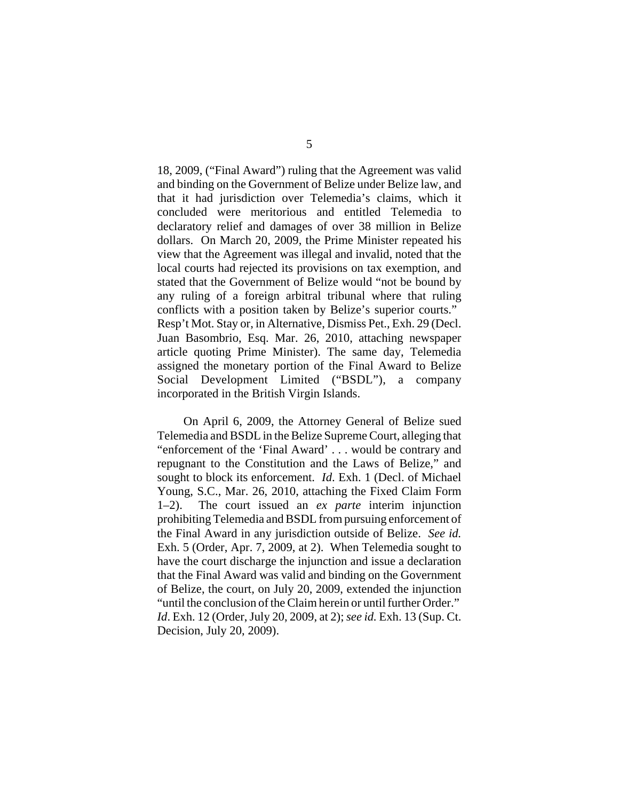18, 2009, ("Final Award") ruling that the Agreement was valid and binding on the Government of Belize under Belize law, and that it had jurisdiction over Telemedia's claims, which it concluded were meritorious and entitled Telemedia to declaratory relief and damages of over 38 million in Belize dollars. On March 20, 2009, the Prime Minister repeated his view that the Agreement was illegal and invalid, noted that the local courts had rejected its provisions on tax exemption, and stated that the Government of Belize would "not be bound by any ruling of a foreign arbitral tribunal where that ruling conflicts with a position taken by Belize's superior courts." Resp't Mot. Stay or, in Alternative, Dismiss Pet., Exh. 29 (Decl. Juan Basombrio, Esq. Mar. 26, 2010, attaching newspaper article quoting Prime Minister). The same day, Telemedia assigned the monetary portion of the Final Award to Belize Social Development Limited ("BSDL"), a company incorporated in the British Virgin Islands.

 On April 6, 2009, the Attorney General of Belize sued Telemedia and BSDL in the Belize Supreme Court, alleging that "enforcement of the 'Final Award' . . . would be contrary and repugnant to the Constitution and the Laws of Belize," and sought to block its enforcement. *Id*. Exh. 1 (Decl. of Michael Young, S.C., Mar. 26, 2010, attaching the Fixed Claim Form 1–2). The court issued an *ex parte* interim injunction prohibiting Telemedia and BSDL from pursuing enforcement of the Final Award in any jurisdiction outside of Belize. *See id.* Exh. 5 (Order, Apr. 7, 2009, at 2). When Telemedia sought to have the court discharge the injunction and issue a declaration that the Final Award was valid and binding on the Government of Belize, the court, on July 20, 2009, extended the injunction "until the conclusion of the Claim herein or until further Order." *Id*. Exh. 12 (Order, July 20, 2009, at 2); *see id.* Exh. 13 (Sup. Ct. Decision, July 20, 2009).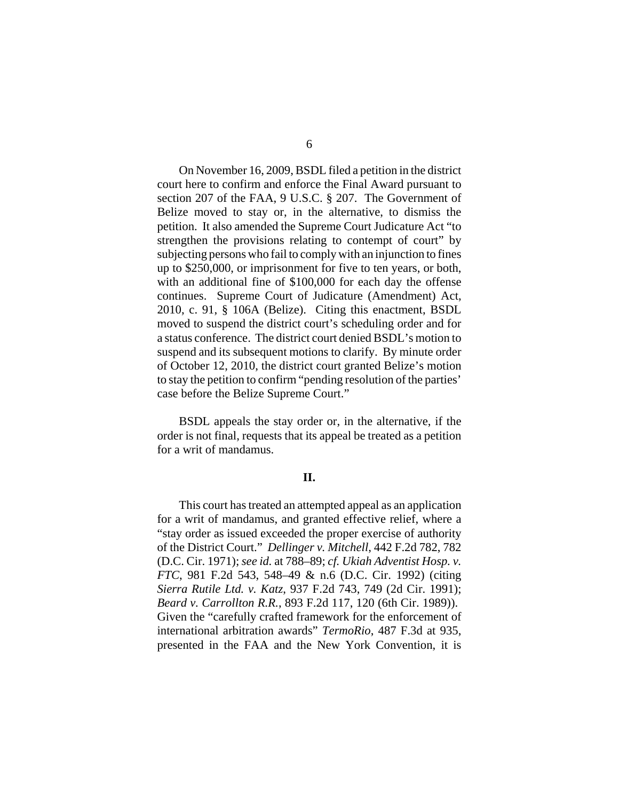On November 16, 2009, BSDL filed a petition in the district court here to confirm and enforce the Final Award pursuant to section 207 of the FAA, 9 U.S.C. § 207. The Government of Belize moved to stay or, in the alternative, to dismiss the petition. It also amended the Supreme Court Judicature Act "to strengthen the provisions relating to contempt of court" by subjecting persons who fail to comply with an injunction to fines up to \$250,000, or imprisonment for five to ten years, or both, with an additional fine of \$100,000 for each day the offense continues. Supreme Court of Judicature (Amendment) Act, 2010, c. 91, § 106A (Belize). Citing this enactment, BSDL moved to suspend the district court's scheduling order and for a status conference. The district court denied BSDL's motion to suspend and its subsequent motions to clarify. By minute order of October 12, 2010, the district court granted Belize's motion to stay the petition to confirm "pending resolution of the parties' case before the Belize Supreme Court."

BSDL appeals the stay order or, in the alternative, if the order is not final, requests that its appeal be treated as a petition for a writ of mandamus.

## **II.**

This court has treated an attempted appeal as an application for a writ of mandamus, and granted effective relief, where a "stay order as issued exceeded the proper exercise of authority of the District Court." *Dellinger v. Mitchell*, 442 F.2d 782, 782 (D.C. Cir. 1971); *see id.* at 788–89; *cf. Ukiah Adventist Hosp. v. FTC*, 981 F.2d 543, 548–49 & n.6 (D.C. Cir. 1992) (citing *Sierra Rutile Ltd. v. Katz*, 937 F.2d 743, 749 (2d Cir. 1991); *Beard v. Carrollton R.R.*, 893 F.2d 117, 120 (6th Cir. 1989)). Given the "carefully crafted framework for the enforcement of international arbitration awards" *TermoRio*, 487 F.3d at 935, presented in the FAA and the New York Convention, it is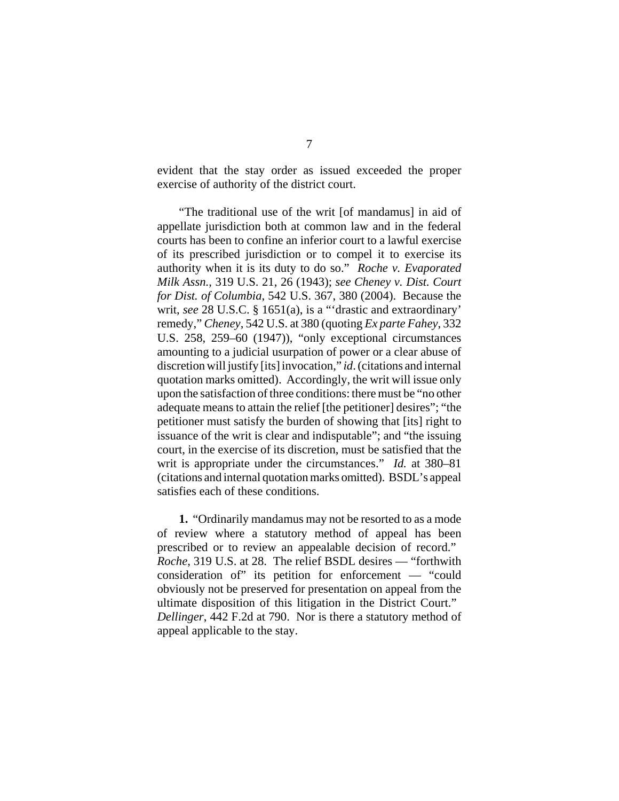evident that the stay order as issued exceeded the proper exercise of authority of the district court.

"The traditional use of the writ [of mandamus] in aid of appellate jurisdiction both at common law and in the federal courts has been to confine an inferior court to a lawful exercise of its prescribed jurisdiction or to compel it to exercise its authority when it is its duty to do so." *Roche v. Evaporated Milk Assn.*, 319 U.S. 21, 26 (1943); *see Cheney v. Dist. Court for Dist. of Columbia*, 542 U.S. 367, 380 (2004). Because the writ, *see* 28 U.S.C. § 1651(a), is a "'drastic and extraordinary' remedy," *Cheney*, 542 U.S. at 380 (quoting *Ex parte Fahey*, 332 U.S. 258, 259–60 (1947)), "only exceptional circumstances amounting to a judicial usurpation of power or a clear abuse of discretion will justify [its] invocation," *id*. (citations and internal quotation marks omitted). Accordingly, the writ will issue only upon the satisfaction of three conditions: there must be "no other adequate means to attain the relief [the petitioner] desires"; "the petitioner must satisfy the burden of showing that [its] right to issuance of the writ is clear and indisputable"; and "the issuing court, in the exercise of its discretion, must be satisfied that the writ is appropriate under the circumstances." *Id.* at 380–81 (citations and internal quotation marks omitted). BSDL's appeal satisfies each of these conditions.

**1.** "Ordinarily mandamus may not be resorted to as a mode of review where a statutory method of appeal has been prescribed or to review an appealable decision of record." *Roche*, 319 U.S. at 28. The relief BSDL desires — "forthwith consideration of" its petition for enforcement — "could obviously not be preserved for presentation on appeal from the ultimate disposition of this litigation in the District Court." *Dellinger*, 442 F.2d at 790. Nor is there a statutory method of appeal applicable to the stay.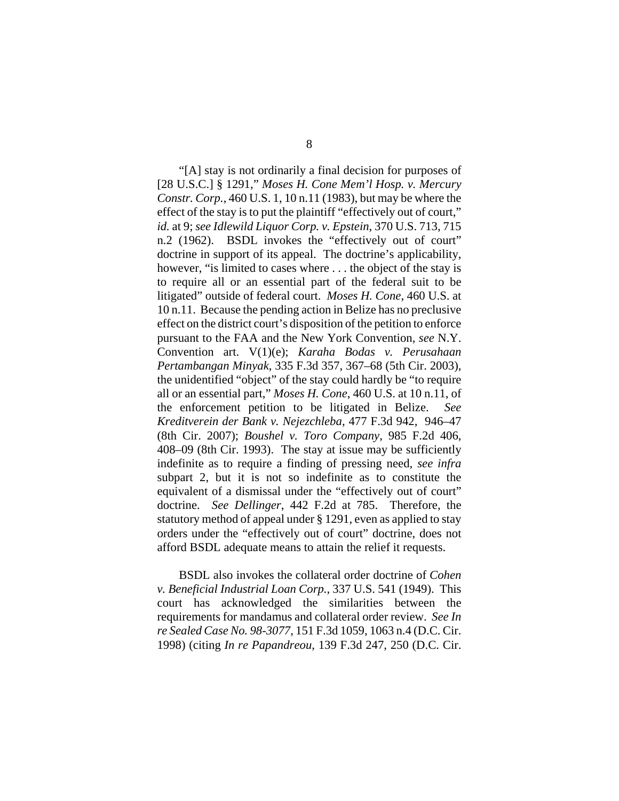"[A] stay is not ordinarily a final decision for purposes of [28 U.S.C.] § 1291," *Moses H. Cone Mem'l Hosp. v. Mercury Constr. Corp.*, 460 U.S. 1, 10 n.11 (1983), but may be where the effect of the stay is to put the plaintiff "effectively out of court," *id.* at 9; *see Idlewild Liquor Corp. v. Epstein*, 370 U.S. 713, 715 n.2 (1962). BSDL invokes the "effectively out of court" doctrine in support of its appeal. The doctrine's applicability, however, "is limited to cases where . . . the object of the stay is to require all or an essential part of the federal suit to be litigated" outside of federal court. *Moses H. Cone*, 460 U.S. at 10 n.11. Because the pending action in Belize has no preclusive effect on the district court's disposition of the petition to enforce pursuant to the FAA and the New York Convention, *see* N.Y. Convention art. V(1)(e); *Karaha Bodas v. Perusahaan Pertambangan Minyak*, 335 F.3d 357, 367–68 (5th Cir. 2003), the unidentified "object" of the stay could hardly be "to require all or an essential part," *Moses H. Cone*, 460 U.S. at 10 n.11, of the enforcement petition to be litigated in Belize. *See Kreditverein der Bank v. Nejezchleba*, 477 F.3d 942, 946–47 (8th Cir. 2007); *Boushel v. Toro Company*, 985 F.2d 406, 408–09 (8th Cir. 1993). The stay at issue may be sufficiently indefinite as to require a finding of pressing need, *see infra* subpart 2, but it is not so indefinite as to constitute the equivalent of a dismissal under the "effectively out of court" doctrine. *See Dellinger*, 442 F.2d at 785. Therefore, the statutory method of appeal under § 1291, even as applied to stay orders under the "effectively out of court" doctrine, does not afford BSDL adequate means to attain the relief it requests.

BSDL also invokes the collateral order doctrine of *Cohen v. Beneficial Industrial Loan Corp.*, 337 U.S. 541 (1949). This court has acknowledged the similarities between the requirements for mandamus and collateral order review. *See In re Sealed Case No. 98-3077*, 151 F.3d 1059, 1063 n.4 (D.C. Cir. 1998) (citing *In re Papandreou*, 139 F.3d 247, 250 (D.C. Cir.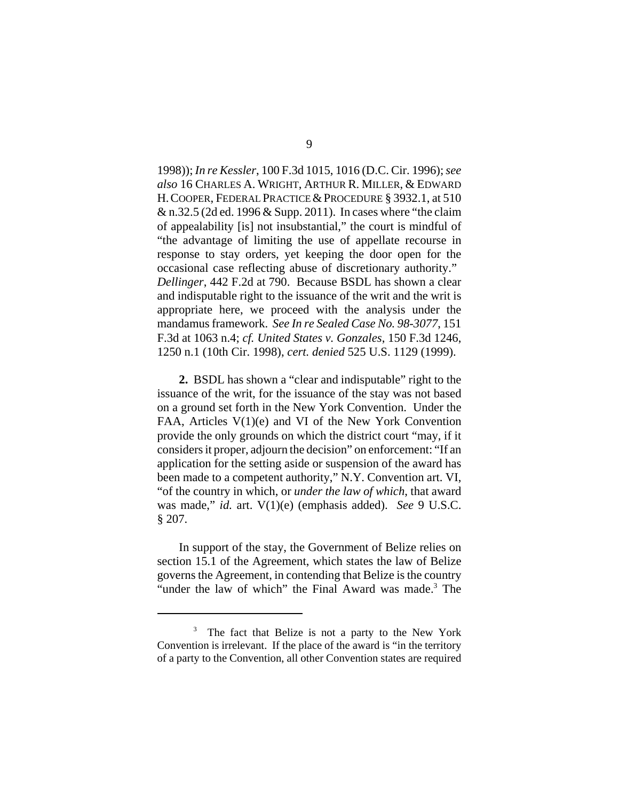1998)); *In re Kessler*, 100 F.3d 1015, 1016 (D.C. Cir. 1996); *see also* 16 CHARLES A. WRIGHT, ARTHUR R. MILLER, & EDWARD H. COOPER, FEDERAL PRACTICE & PROCEDURE § 3932.1, at 510 & n.32.5 (2d ed. 1996 & Supp. 2011). In cases where "the claim of appealability [is] not insubstantial," the court is mindful of "the advantage of limiting the use of appellate recourse in response to stay orders, yet keeping the door open for the occasional case reflecting abuse of discretionary authority." *Dellinger*, 442 F.2d at 790. Because BSDL has shown a clear and indisputable right to the issuance of the writ and the writ is appropriate here, we proceed with the analysis under the mandamus framework. *See In re Sealed Case No. 98-3077*, 151 F.3d at 1063 n.4; *cf. United States v. Gonzales*, 150 F.3d 1246, 1250 n.1 (10th Cir. 1998), *cert. denied* 525 U.S. 1129 (1999).

**2.** BSDL has shown a "clear and indisputable" right to the issuance of the writ, for the issuance of the stay was not based on a ground set forth in the New York Convention. Under the FAA, Articles V(1)(e) and VI of the New York Convention provide the only grounds on which the district court "may, if it considers it proper, adjourn the decision" on enforcement: "If an application for the setting aside or suspension of the award has been made to a competent authority," N.Y. Convention art. VI, "of the country in which, or *under the law of which*, that award was made," *id.* art. V(1)(e) (emphasis added). *See* 9 U.S.C. § 207.

In support of the stay, the Government of Belize relies on section 15.1 of the Agreement, which states the law of Belize governs the Agreement, in contending that Belize is the country "under the law of which" the Final Award was made.<sup>3</sup> The

<sup>&</sup>lt;sup>3</sup> The fact that Belize is not a party to the New York Convention is irrelevant. If the place of the award is "in the territory of a party to the Convention, all other Convention states are required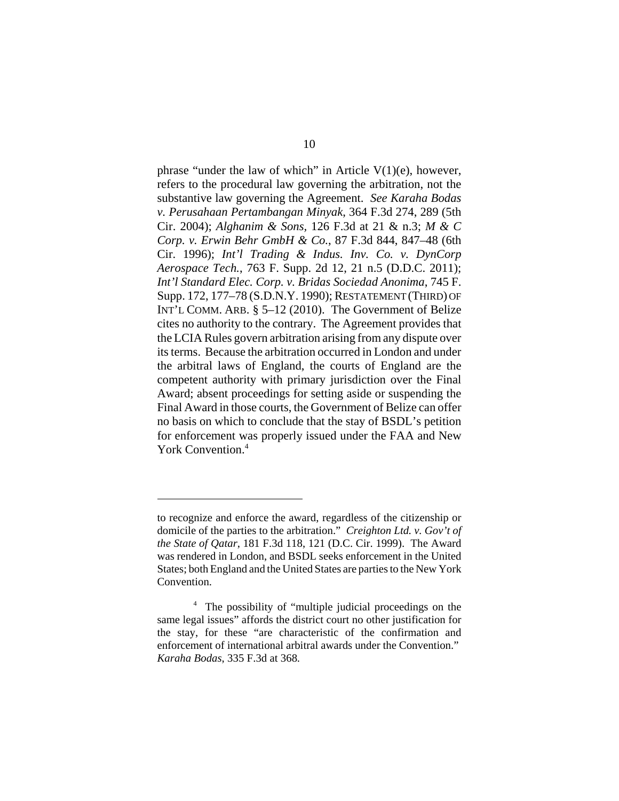phrase "under the law of which" in Article  $V(1)(e)$ , however, refers to the procedural law governing the arbitration, not the substantive law governing the Agreement. *See Karaha Bodas v. Perusahaan Pertambangan Minyak*, 364 F.3d 274, 289 (5th Cir. 2004); *Alghanim & Sons,* 126 F.3d at 21 & n.3; *M & C Corp. v. Erwin Behr GmbH & Co.*, 87 F.3d 844, 847–48 (6th Cir. 1996); *Int'l Trading & Indus. Inv. Co. v. DynCorp Aerospace Tech.*, 763 F. Supp. 2d 12, 21 n.5 (D.D.C. 2011); *Int'l Standard Elec. Corp. v. Bridas Sociedad Anonima*, 745 F. Supp. 172, 177–78 (S.D.N.Y. 1990); RESTATEMENT (THIRD) OF INT'L COMM. ARB. § 5–12 (2010). The Government of Belize cites no authority to the contrary. The Agreement provides that the LCIA Rules govern arbitration arising from any dispute over its terms. Because the arbitration occurred in London and under the arbitral laws of England, the courts of England are the competent authority with primary jurisdiction over the Final Award; absent proceedings for setting aside or suspending the Final Award in those courts, the Government of Belize can offer no basis on which to conclude that the stay of BSDL's petition for enforcement was properly issued under the FAA and New York Convention.<sup>4</sup>

to recognize and enforce the award, regardless of the citizenship or domicile of the parties to the arbitration." *Creighton Ltd. v. Gov't of the State of Qatar*, 181 F.3d 118, 121 (D.C. Cir. 1999). The Award was rendered in London, and BSDL seeks enforcement in the United States; both England and the United States are parties to the New York Convention.

<sup>&</sup>lt;sup>4</sup> The possibility of "multiple judicial proceedings on the same legal issues" affords the district court no other justification for the stay, for these "are characteristic of the confirmation and enforcement of international arbitral awards under the Convention." *Karaha Bodas*, 335 F.3d at 368*.*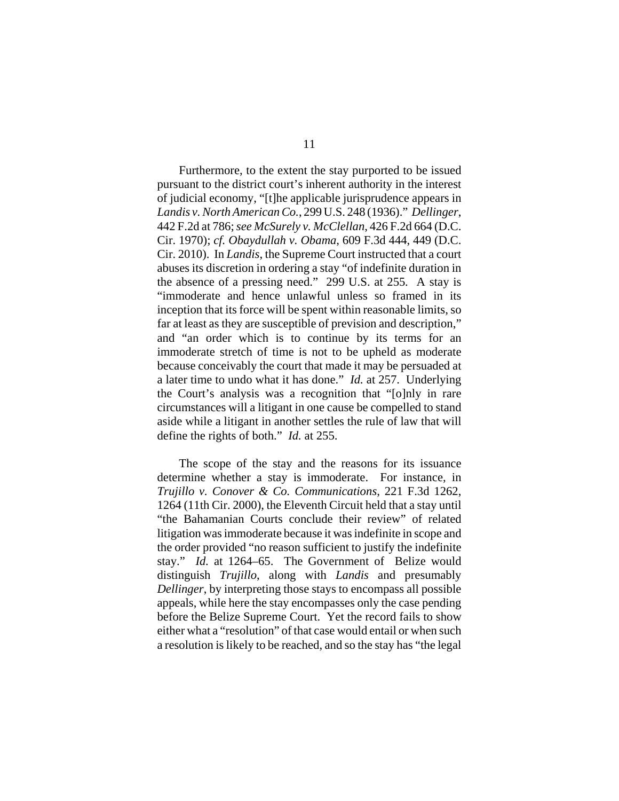Furthermore, to the extent the stay purported to be issued pursuant to the district court's inherent authority in the interest of judicial economy, "[t]he applicable jurisprudence appears in *Landis v. North American Co.*, 299 U.S. 248 (1936)." *Dellinger*, 442 F.2d at 786; *see McSurely v. McClellan*, 426 F.2d 664 (D.C. Cir. 1970); *cf. Obaydullah v. Obama*, 609 F.3d 444, 449 (D.C. Cir. 2010). In *Landis*, the Supreme Court instructed that a court abuses its discretion in ordering a stay "of indefinite duration in the absence of a pressing need." 299 U.S. at 255*.* A stay is "immoderate and hence unlawful unless so framed in its inception that its force will be spent within reasonable limits, so far at least as they are susceptible of prevision and description," and "an order which is to continue by its terms for an immoderate stretch of time is not to be upheld as moderate because conceivably the court that made it may be persuaded at a later time to undo what it has done." *Id.* at 257. Underlying the Court's analysis was a recognition that "[o]nly in rare circumstances will a litigant in one cause be compelled to stand aside while a litigant in another settles the rule of law that will define the rights of both." *Id.* at 255.

The scope of the stay and the reasons for its issuance determine whether a stay is immoderate. For instance, in *Trujillo v. Conover & Co. Communications*, 221 F.3d 1262, 1264 (11th Cir. 2000), the Eleventh Circuit held that a stay until "the Bahamanian Courts conclude their review" of related litigation was immoderate because it was indefinite in scope and the order provided "no reason sufficient to justify the indefinite stay." *Id.* at 1264–65. The Government of Belize would distinguish *Trujillo*, along with *Landis* and presumably *Dellinger*, by interpreting those stays to encompass all possible appeals, while here the stay encompasses only the case pending before the Belize Supreme Court. Yet the record fails to show either what a "resolution" of that case would entail or when such a resolution is likely to be reached, and so the stay has "the legal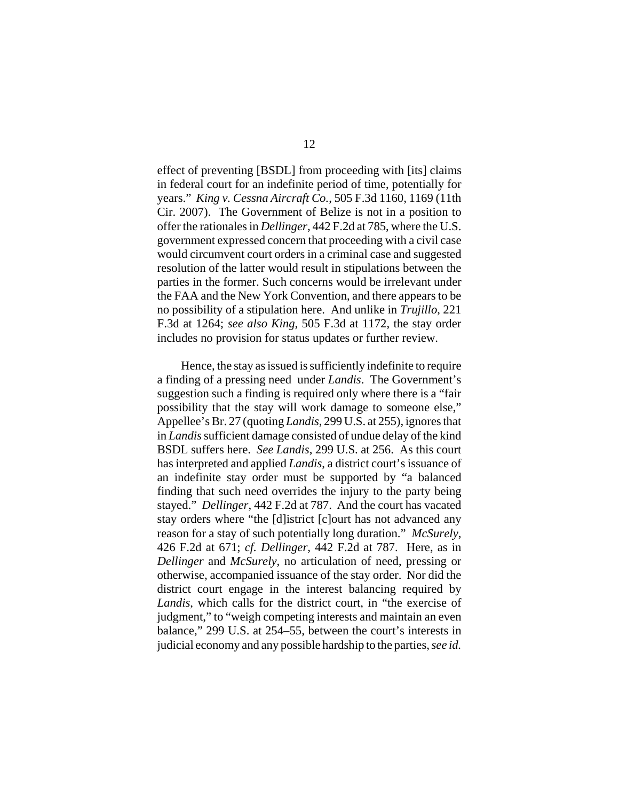effect of preventing [BSDL] from proceeding with [its] claims in federal court for an indefinite period of time, potentially for years." *King v. Cessna Aircraft Co.*, 505 F.3d 1160, 1169 (11th Cir. 2007). The Government of Belize is not in a position to offer the rationales in *Dellinger*, 442 F.2d at 785, where the U.S. government expressed concern that proceeding with a civil case would circumvent court orders in a criminal case and suggested resolution of the latter would result in stipulations between the parties in the former. Such concerns would be irrelevant under the FAA and the New York Convention, and there appears to be no possibility of a stipulation here. And unlike in *Trujillo*, 221 F.3d at 1264; *see also King*, 505 F.3d at 1172, the stay order includes no provision for status updates or further review.

 Hence, the stay as issued is sufficiently indefinite to require a finding of a pressing need under *Landis*. The Government's suggestion such a finding is required only where there is a "fair possibility that the stay will work damage to someone else," Appellee's Br. 27 (quoting *Landis*, 299 U.S. at 255), ignores that in *Landis* sufficient damage consisted of undue delay of the kind BSDL suffers here. *See Landis*, 299 U.S. at 256. As this court has interpreted and applied *Landis*, a district court's issuance of an indefinite stay order must be supported by "a balanced finding that such need overrides the injury to the party being stayed." *Dellinger*, 442 F.2d at 787. And the court has vacated stay orders where "the [d]istrict [c]ourt has not advanced any reason for a stay of such potentially long duration." *McSurely*, 426 F.2d at 671; *cf. Dellinger*, 442 F.2d at 787. Here, as in *Dellinger* and *McSurely*, no articulation of need, pressing or otherwise, accompanied issuance of the stay order. Nor did the district court engage in the interest balancing required by *Landis*, which calls for the district court, in "the exercise of judgment," to "weigh competing interests and maintain an even balance," 299 U.S. at 254–55, between the court's interests in judicial economy and any possible hardship to the parties, *see id.*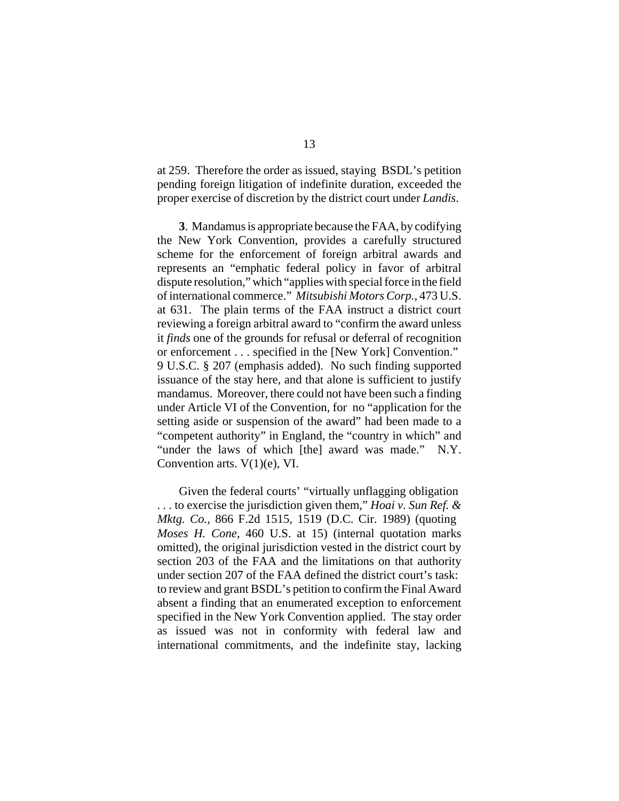at 259. Therefore the order as issued, staying BSDL's petition pending foreign litigation of indefinite duration, exceeded the proper exercise of discretion by the district court under *Landis*.

**3**. Mandamus is appropriate because the FAA, by codifying the New York Convention, provides a carefully structured scheme for the enforcement of foreign arbitral awards and represents an "emphatic federal policy in favor of arbitral dispute resolution," which "applies with special force in the field of international commerce." *Mitsubishi Motors Corp.*, 473 U.S. at 631. The plain terms of the FAA instruct a district court reviewing a foreign arbitral award to "confirm the award unless it *finds* one of the grounds for refusal or deferral of recognition or enforcement . . . specified in the [New York] Convention." 9 U.S.C. § 207 (emphasis added). No such finding supported issuance of the stay here, and that alone is sufficient to justify mandamus. Moreover, there could not have been such a finding under Article VI of the Convention, for no "application for the setting aside or suspension of the award" had been made to a "competent authority" in England, the "country in which" and "under the laws of which [the] award was made." N.Y. Convention arts. V(1)(e), VI.

Given the federal courts' "virtually unflagging obligation . . . to exercise the jurisdiction given them," *Hoai v. Sun Ref. & Mktg. Co.,* 866 F.2d 1515, 1519 (D.C. Cir. 1989) (quoting *Moses H. Cone*, 460 U.S. at 15) (internal quotation marks omitted), the original jurisdiction vested in the district court by section 203 of the FAA and the limitations on that authority under section 207 of the FAA defined the district court's task: to review and grant BSDL's petition to confirm the Final Award absent a finding that an enumerated exception to enforcement specified in the New York Convention applied. The stay order as issued was not in conformity with federal law and international commitments, and the indefinite stay, lacking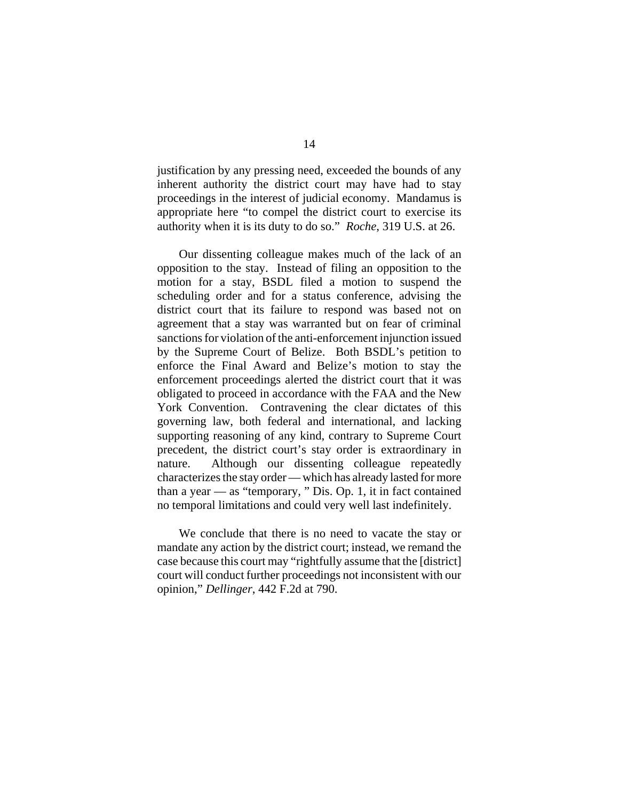justification by any pressing need, exceeded the bounds of any inherent authority the district court may have had to stay proceedings in the interest of judicial economy. Mandamus is appropriate here "to compel the district court to exercise its authority when it is its duty to do so." *Roche*, 319 U.S. at 26.

Our dissenting colleague makes much of the lack of an opposition to the stay. Instead of filing an opposition to the motion for a stay, BSDL filed a motion to suspend the scheduling order and for a status conference, advising the district court that its failure to respond was based not on agreement that a stay was warranted but on fear of criminal sanctions for violation of the anti-enforcement injunction issued by the Supreme Court of Belize. Both BSDL's petition to enforce the Final Award and Belize's motion to stay the enforcement proceedings alerted the district court that it was obligated to proceed in accordance with the FAA and the New York Convention. Contravening the clear dictates of this governing law, both federal and international, and lacking supporting reasoning of any kind, contrary to Supreme Court precedent, the district court's stay order is extraordinary in nature. Although our dissenting colleague repeatedly characterizes the stay order — which has already lasted for more than a year — as "temporary, " Dis. Op. 1, it in fact contained no temporal limitations and could very well last indefinitely.

We conclude that there is no need to vacate the stay or mandate any action by the district court; instead, we remand the case because this court may "rightfully assume that the [district] court will conduct further proceedings not inconsistent with our opinion," *Dellinger*, 442 F.2d at 790.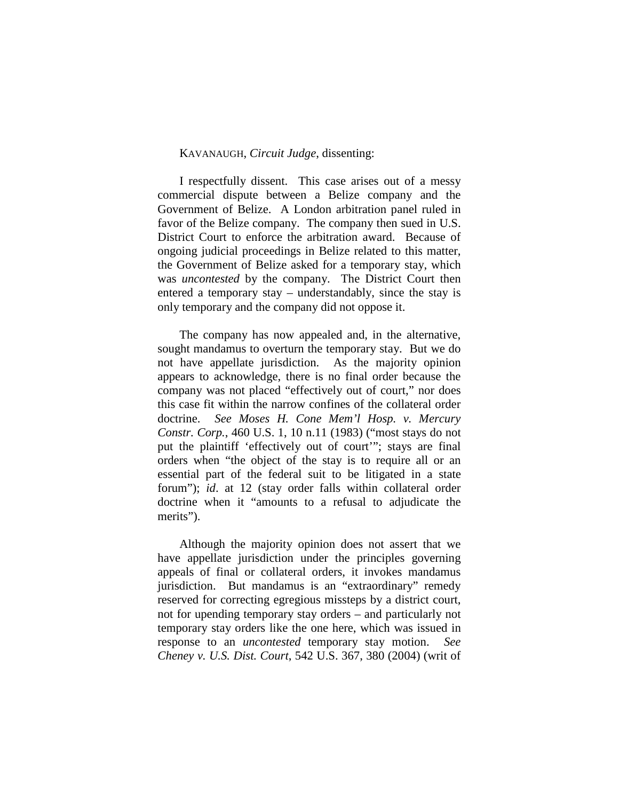## KAVANAUGH, *Circuit Judge*, dissenting:

I respectfully dissent. This case arises out of a messy commercial dispute between a Belize company and the Government of Belize. A London arbitration panel ruled in favor of the Belize company. The company then sued in U.S. District Court to enforce the arbitration award. Because of ongoing judicial proceedings in Belize related to this matter, the Government of Belize asked for a temporary stay, which was *uncontested* by the company. The District Court then entered a temporary stay – understandably, since the stay is only temporary and the company did not oppose it.

The company has now appealed and, in the alternative, sought mandamus to overturn the temporary stay. But we do not have appellate jurisdiction. As the majority opinion appears to acknowledge, there is no final order because the company was not placed "effectively out of court," nor does this case fit within the narrow confines of the collateral order doctrine. *See Moses H. Cone Mem'l Hosp. v. Mercury Constr. Corp.*, 460 U.S. 1, 10 n.11 (1983) ("most stays do not put the plaintiff 'effectively out of court'"; stays are final orders when "the object of the stay is to require all or an essential part of the federal suit to be litigated in a state forum"); *id*. at 12 (stay order falls within collateral order doctrine when it "amounts to a refusal to adjudicate the merits").

Although the majority opinion does not assert that we have appellate jurisdiction under the principles governing appeals of final or collateral orders, it invokes mandamus jurisdiction. But mandamus is an "extraordinary" remedy reserved for correcting egregious missteps by a district court, not for upending temporary stay orders – and particularly not temporary stay orders like the one here, which was issued in response to an *uncontested* temporary stay motion. *See Cheney v. U.S. Dist. Court*, 542 U.S. 367, 380 (2004) (writ of